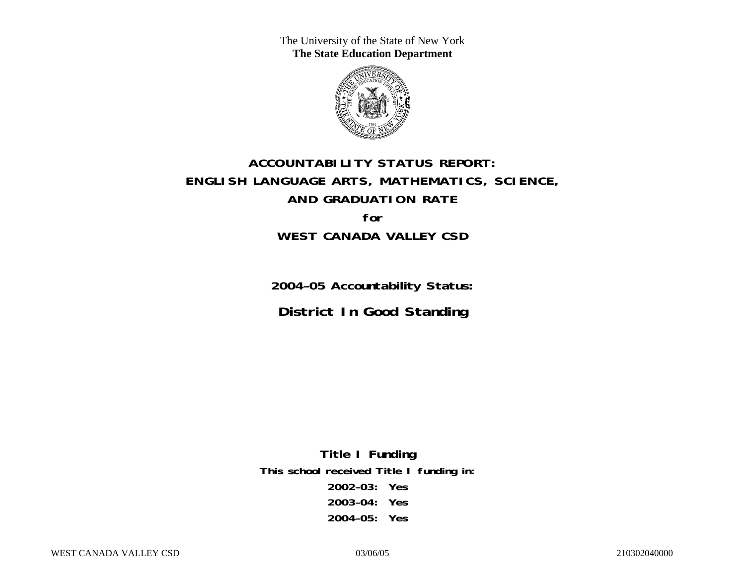The University of the State of New York **The State Education Department** 



# **ACCOUNTABILITY STATUS REPORT: ENGLISH LANGUAGE ARTS, MATHEMATICS, SCIENCE, AND GRADUATION RATE for WEST CANADA VALLEY CSD**

**2004–05 Accountability Status: District In Good Standing** 

**Title I Funding This school received Title I funding in: 2002–03: Yes 2003–04: Yes 2004–05: Yes**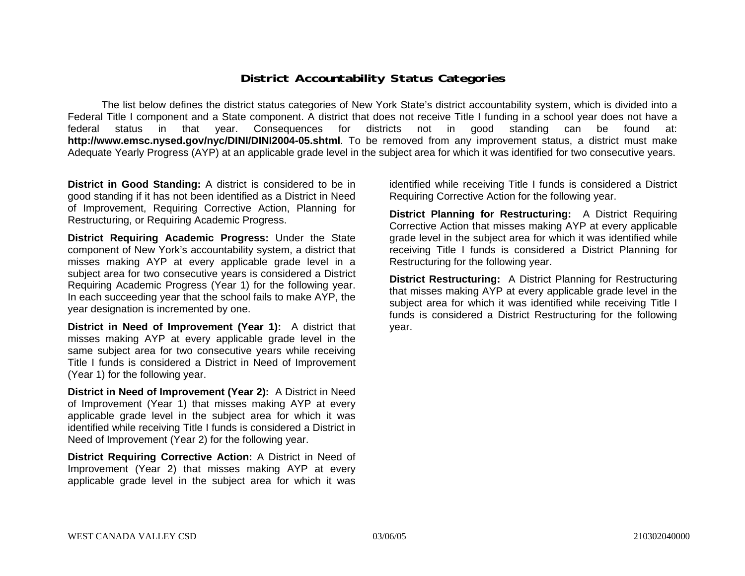### **District Accountability Status Categories**

The list below defines the district status categories of New York State's district accountability system, which is divided into a Federal Title I component and a State component. A district that does not receive Title I funding in a school year does not have a federal status in that year. Consequences for districts not in good standing can be found at: **http://www.emsc.nysed.gov/nyc/DINI/DINI2004-05.shtml**. To be removed from any improvement status, a district must make Adequate Yearly Progress (AYP) at an applicable grade level in the subject area for which it was identified for two consecutive years.

**District in Good Standing:** A district is considered to be in good standing if it has not been identified as a District in Need of Improvement, Requiring Corrective Action, Planning for Restructuring, or Requiring Academic Progress.

**District Requiring Academic Progress:** Under the State component of New York's accountability system, a district that misses making AYP at every applicable grade level in a subject area for two consecutive years is considered a District Requiring Academic Progress (Year 1) for the following year. In each succeeding year that the school fails to make AYP, the year designation is incremented by one.

**District in Need of Improvement (Year 1):** A district that misses making AYP at every applicable grade level in the same subject area for two consecutive years while receiving Title I funds is considered a District in Need of Improvement (Year 1) for the following year.

**District in Need of Improvement (Year 2):** A District in Need of Improvement (Year 1) that misses making AYP at every applicable grade level in the subject area for which it was identified while receiving Title I funds is considered a District in Need of Improvement (Year 2) for the following year.

**District Requiring Corrective Action:** A District in Need of Improvement (Year 2) that misses making AYP at every applicable grade level in the subject area for which it was

identified while receiving Title I funds is considered a District Requiring Corrective Action for the following year.

**District Planning for Restructuring:** A District Requiring Corrective Action that misses making AYP at every applicable grade level in the subject area for which it was identified while receiving Title I funds is considered a District Planning for Restructuring for the following year.

**District Restructuring:** A District Planning for Restructuring that misses making AYP at every applicable grade level in the subject area for which it was identified while receiving Title I funds is considered a District Restructuring for the following year.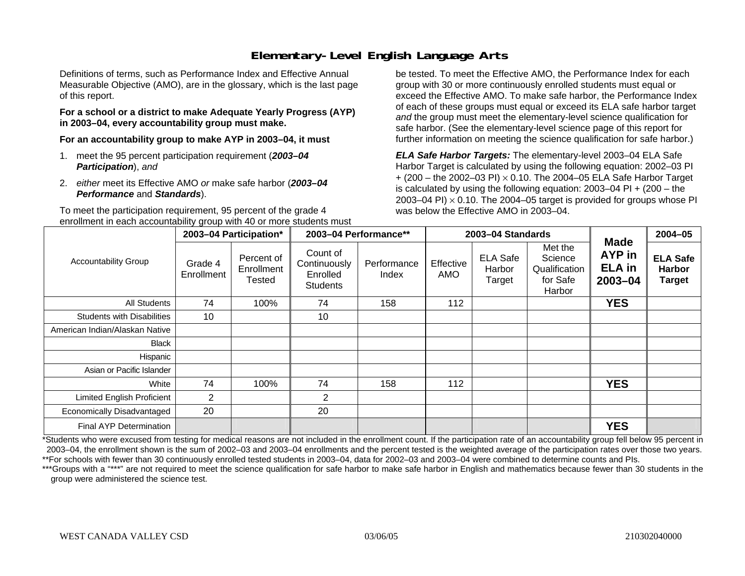### **Elementary-Level English Language Arts**

Definitions of terms, such as Performance Index and Effective Annual Measurable Objective (AMO), are in the glossary, which is the last page of this report.

#### **For a school or a district to make Adequate Yearly Progress (AYP) in 2003–04, every accountability group must make.**

**For an accountability group to make AYP in 2003–04, it must** 

- 1. meet the 95 percent participation requirement (*2003–04 Participation*), *and*
- 2. *either* meet its Effective AMO *or* make safe harbor (*2003–04 Performance* and *Standards*).

To meet the participation requirement, 95 percent of the grade 4 enrollment in each accountability group with 40 or more students must

be tested. To meet the Effective AMO, the Performance Index for each group with 30 or more continuously enrolled students must equal or exceed the Effective AMO. To make safe harbor, the Performance Index of each of these groups must equal or exceed its ELA safe harbor target *and* the group must meet the elementary-level science qualification for safe harbor. (See the elementary-level science page of this report for further information on meeting the science qualification for safe harbor.)

*ELA Safe Harbor Targets:* The elementary-level 2003–04 ELA Safe Harbor Target is calculated by using the following equation: 2002–03 PI + (200 – the 2002–03 PI) <sup>×</sup> 0.10. The 2004–05 ELA Safe Harbor Target is calculated by using the following equation: 2003–04 PI + (200 – the 2003–04 PI)  $\times$  0.10. The 2004–05 target is provided for groups whose PI was below the Effective AMO in 2003–04.

|                                   |                       | 2003-04 Participation*             |                                                         | 2003-04 Performance** |                  | 2003-04 Standards                   |                                                           |                                                       | 2004-05                                           |
|-----------------------------------|-----------------------|------------------------------------|---------------------------------------------------------|-----------------------|------------------|-------------------------------------|-----------------------------------------------------------|-------------------------------------------------------|---------------------------------------------------|
| <b>Accountability Group</b>       | Grade 4<br>Enrollment | Percent of<br>Enrollment<br>Tested | Count of<br>Continuously<br>Enrolled<br><b>Students</b> | Performance<br>Index  | Effective<br>AMO | <b>ELA Safe</b><br>Harbor<br>Target | Met the<br>Science<br>Qualification<br>for Safe<br>Harbor | <b>Made</b><br>AYP in<br><b>ELA in</b><br>$2003 - 04$ | <b>ELA Safe</b><br><b>Harbor</b><br><b>Target</b> |
| <b>All Students</b>               | 74                    | 100%                               | 74                                                      | 158                   | 112              |                                     |                                                           | <b>YES</b>                                            |                                                   |
| <b>Students with Disabilities</b> | 10                    |                                    | 10                                                      |                       |                  |                                     |                                                           |                                                       |                                                   |
| American Indian/Alaskan Native    |                       |                                    |                                                         |                       |                  |                                     |                                                           |                                                       |                                                   |
| Black                             |                       |                                    |                                                         |                       |                  |                                     |                                                           |                                                       |                                                   |
| Hispanic                          |                       |                                    |                                                         |                       |                  |                                     |                                                           |                                                       |                                                   |
| Asian or Pacific Islander         |                       |                                    |                                                         |                       |                  |                                     |                                                           |                                                       |                                                   |
| White                             | 74                    | 100%                               | 74                                                      | 158                   | 112              |                                     |                                                           | <b>YES</b>                                            |                                                   |
| <b>Limited English Proficient</b> | $\overline{2}$        |                                    | $\overline{2}$                                          |                       |                  |                                     |                                                           |                                                       |                                                   |
| Economically Disadvantaged        | 20                    |                                    | 20                                                      |                       |                  |                                     |                                                           |                                                       |                                                   |
| <b>Final AYP Determination</b>    |                       |                                    |                                                         |                       |                  |                                     |                                                           | <b>YES</b>                                            |                                                   |

\*Students who were excused from testing for medical reasons are not included in the enrollment count. If the participation rate of an accountability group fell below 95 percent in 2003–04, the enrollment shown is the sum of 2002–03 and 2003–04 enrollments and the percent tested is the weighted average of the participation rates over those two years. \*\*For schools with fewer than 30 continuously enrolled tested students in 2003–04, data for 2002–03 and 2003–04 were combined to determine counts and PIs.

\*\*\*Groups with a "\*\*\*" are not required to meet the science qualification for safe harbor to make safe harbor in English and mathematics because fewer than 30 students in the group were administered the science test.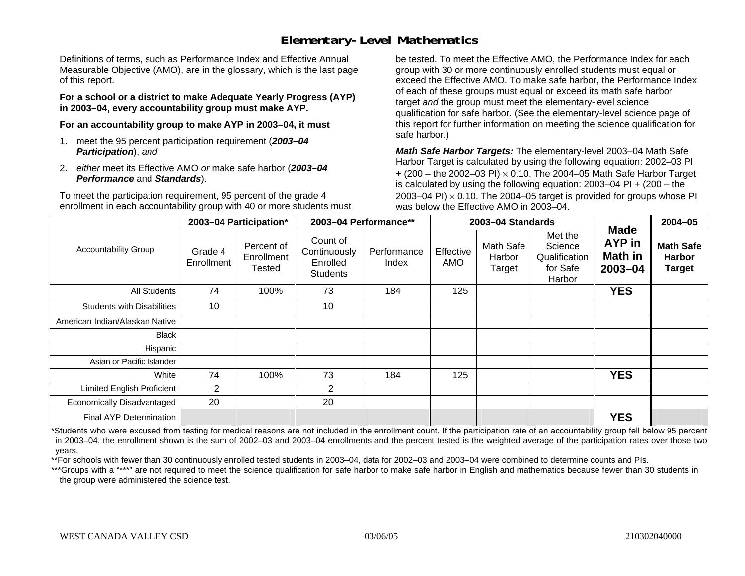### **Elementary-Level Mathematics**

Definitions of terms, such as Performance Index and Effective Annual Measurable Objective (AMO), are in the glossary, which is the last page of this report.

**For a school or a district to make Adequate Yearly Progress (AYP) in 2003–04, every accountability group must make AYP.** 

**For an accountability group to make AYP in 2003–04, it must** 

- 1. meet the 95 percent participation requirement (*2003–04 Participation*), *and*
- 2. *either* meet its Effective AMO *or* make safe harbor (*2003–04 Performance* and *Standards*).

To meet the participation requirement, 95 percent of the grade 4 enrollment in each accountability group with 40 or more students must be tested. To meet the Effective AMO, the Performance Index for each group with 30 or more continuously enrolled students must equal or exceed the Effective AMO. To make safe harbor, the Performance Index of each of these groups must equal or exceed its math safe harbor target *and* the group must meet the elementary-level science qualification for safe harbor. (See the elementary-level science page of this report for further information on meeting the science qualification for safe harbor.)

*Math Safe Harbor Targets:* The elementary-level 2003–04 Math Safe Harbor Target is calculated by using the following equation: 2002–03 PI + (200 – the 2002–03 PI) <sup>×</sup> 0.10. The 2004–05 Math Safe Harbor Target is calculated by using the following equation: 2003–04 PI + (200 – the 2003–04 PI)  $\times$  0.10. The 2004–05 target is provided for groups whose PI was below the Effective AMO in 2003–04.

|                                   |                       | 2003-04 Participation*             |                                                         | 2003-04 Performance** |                  | 2003-04 Standards             |                                                           | <b>Made</b>                      | 2004-05                                            |
|-----------------------------------|-----------------------|------------------------------------|---------------------------------------------------------|-----------------------|------------------|-------------------------------|-----------------------------------------------------------|----------------------------------|----------------------------------------------------|
| <b>Accountability Group</b>       | Grade 4<br>Enrollment | Percent of<br>Enrollment<br>Tested | Count of<br>Continuously<br>Enrolled<br><b>Students</b> | Performance<br>Index  | Effective<br>AMO | Math Safe<br>Harbor<br>Target | Met the<br>Science<br>Qualification<br>for Safe<br>Harbor | AYP in<br>Math in<br>$2003 - 04$ | <b>Math Safe</b><br><b>Harbor</b><br><b>Target</b> |
| All Students                      | 74                    | 100%                               | 73                                                      | 184                   | 125              |                               |                                                           | <b>YES</b>                       |                                                    |
| <b>Students with Disabilities</b> | 10                    |                                    | 10                                                      |                       |                  |                               |                                                           |                                  |                                                    |
| American Indian/Alaskan Native    |                       |                                    |                                                         |                       |                  |                               |                                                           |                                  |                                                    |
| <b>Black</b>                      |                       |                                    |                                                         |                       |                  |                               |                                                           |                                  |                                                    |
| Hispanic                          |                       |                                    |                                                         |                       |                  |                               |                                                           |                                  |                                                    |
| Asian or Pacific Islander         |                       |                                    |                                                         |                       |                  |                               |                                                           |                                  |                                                    |
| White                             | 74                    | 100%                               | 73                                                      | 184                   | 125              |                               |                                                           | <b>YES</b>                       |                                                    |
| <b>Limited English Proficient</b> | $\overline{2}$        |                                    | 2                                                       |                       |                  |                               |                                                           |                                  |                                                    |
| Economically Disadvantaged        | 20                    |                                    | 20                                                      |                       |                  |                               |                                                           |                                  |                                                    |
| Final AYP Determination           |                       |                                    |                                                         |                       |                  |                               |                                                           | <b>YES</b>                       |                                                    |

\*Students who were excused from testing for medical reasons are not included in the enrollment count. If the participation rate of an accountability group fell below 95 percent in 2003–04, the enrollment shown is the sum of 2002–03 and 2003–04 enrollments and the percent tested is the weighted average of the participation rates over those two years.

\*\*For schools with fewer than 30 continuously enrolled tested students in 2003–04, data for 2002–03 and 2003–04 were combined to determine counts and PIs.

\*\*\*Groups with a "\*\*\*" are not required to meet the science qualification for safe harbor to make safe harbor in English and mathematics because fewer than 30 students in the group were administered the science test.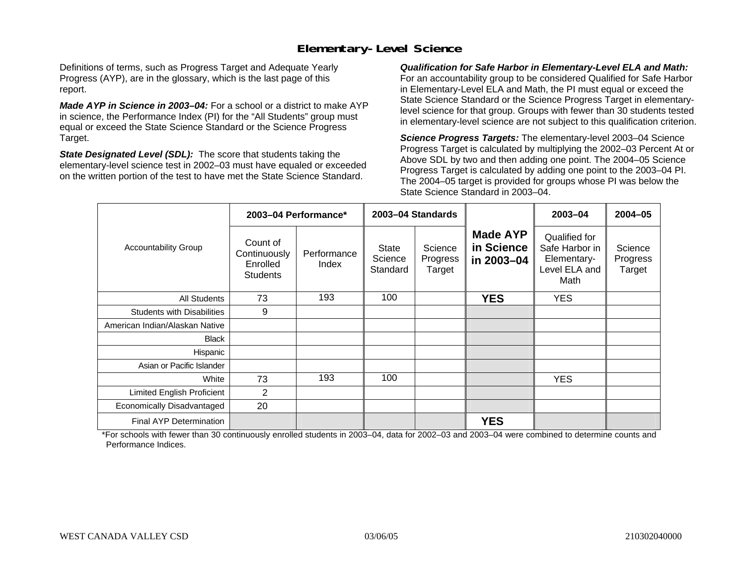### **Elementary-Level Science**

Definitions of terms, such as Progress Target and Adequate Yearly Progress (AYP), are in the glossary, which is the last page of this report.

*Made AYP in Science in 2003–04:* For a school or a district to make AYP in science, the Performance Index (PI) for the "All Students" group must equal or exceed the State Science Standard or the Science Progress Target.

*State Designated Level (SDL):* The score that students taking the elementary-level science test in 2002–03 must have equaled or exceeded on the written portion of the test to have met the State Science Standard.

*Qualification for Safe Harbor in Elementary-Level ELA and Math:* For an accountability group to be considered Qualified for Safe Harbor in Elementary-Level ELA and Math, the PI must equal or exceed the State Science Standard or the Science Progress Target in elementarylevel science for that group. Groups with fewer than 30 students tested in elementary-level science are not subject to this qualification criterion.

*Science Progress Targets:* The elementary-level 2003–04 Science Progress Target is calculated by multiplying the 2002–03 Percent At or Above SDL by two and then adding one point. The 2004–05 Science Progress Target is calculated by adding one point to the 2003–04 PI. The 2004–05 target is provided for groups whose PI was below the State Science Standard in 2003–04.

|                                   |                                                         | 2003-04 Performance* |                                     | 2003-04 Standards             |                                             | 2003-04                                                                 | $2004 - 05$                   |
|-----------------------------------|---------------------------------------------------------|----------------------|-------------------------------------|-------------------------------|---------------------------------------------|-------------------------------------------------------------------------|-------------------------------|
| <b>Accountability Group</b>       | Count of<br>Continuously<br>Enrolled<br><b>Students</b> | Performance<br>Index | <b>State</b><br>Science<br>Standard | Science<br>Progress<br>Target | <b>Made AYP</b><br>in Science<br>in 2003-04 | Qualified for<br>Safe Harbor in<br>Elementary-<br>Level ELA and<br>Math | Science<br>Progress<br>Target |
| All Students                      | 73                                                      | 193                  | 100                                 |                               | <b>YES</b>                                  | <b>YES</b>                                                              |                               |
| <b>Students with Disabilities</b> | 9                                                       |                      |                                     |                               |                                             |                                                                         |                               |
| American Indian/Alaskan Native    |                                                         |                      |                                     |                               |                                             |                                                                         |                               |
| <b>Black</b>                      |                                                         |                      |                                     |                               |                                             |                                                                         |                               |
| Hispanic                          |                                                         |                      |                                     |                               |                                             |                                                                         |                               |
| Asian or Pacific Islander         |                                                         |                      |                                     |                               |                                             |                                                                         |                               |
| White                             | 73                                                      | 193                  | 100                                 |                               |                                             | <b>YES</b>                                                              |                               |
| Limited English Proficient        | 2                                                       |                      |                                     |                               |                                             |                                                                         |                               |
| Economically Disadvantaged        | 20                                                      |                      |                                     |                               |                                             |                                                                         |                               |
| Final AYP Determination           |                                                         |                      |                                     |                               | <b>YES</b>                                  |                                                                         |                               |

\*For schools with fewer than 30 continuously enrolled students in 2003–04, data for 2002–03 and 2003–04 were combined to determine counts and Performance Indices.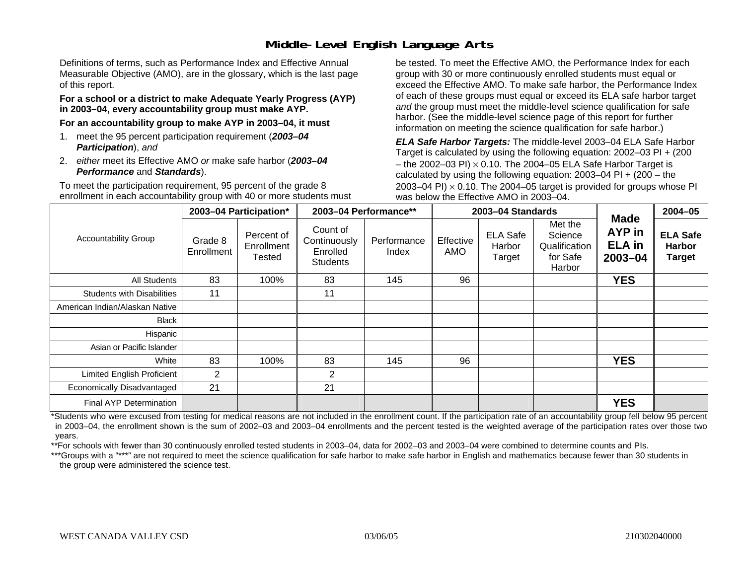## **Middle-Level English Language Arts**

Definitions of terms, such as Performance Index and Effective Annual Measurable Objective (AMO), are in the glossary, which is the last page of this report.

#### **For a school or a district to make Adequate Yearly Progress (AYP) in 2003–04, every accountability group must make AYP.**

**For an accountability group to make AYP in 2003–04, it must** 

- 1. meet the 95 percent participation requirement (*2003–04 Participation*), *and*
- 2. *either* meet its Effective AMO *or* make safe harbor (*2003–04 Performance* and *Standards*).

To meet the participation requirement, 95 percent of the grade 8 enrollment in each accountability group with 40 or more students must be tested. To meet the Effective AMO, the Performance Index for each group with 30 or more continuously enrolled students must equal or exceed the Effective AMO. To make safe harbor, the Performance Index of each of these groups must equal or exceed its ELA safe harbor target *and* the group must meet the middle-level science qualification for safe harbor. (See the middle-level science page of this report for further information on meeting the science qualification for safe harbor.)

*ELA Safe Harbor Targets:* The middle-level 2003–04 ELA Safe Harbor Target is calculated by using the following equation: 2002–03 PI + (200 – the 2002–03 PI)  $\times$  0.10. The 2004–05 ELA Safe Harbor Target is calculated by using the following equation:  $2003-04$  PI +  $(200 -$ the 2003–04 PI)  $\times$  0.10. The 2004–05 target is provided for groups whose PI was below the Effective AMO in 2003–04.

|                                   |                       | 2003-04 Participation*             |                                                         | 2003-04 Performance** |                  | 2003-04 Standards                   |                                                           | <b>Made</b>                                   | 2004-05                                           |
|-----------------------------------|-----------------------|------------------------------------|---------------------------------------------------------|-----------------------|------------------|-------------------------------------|-----------------------------------------------------------|-----------------------------------------------|---------------------------------------------------|
| <b>Accountability Group</b>       | Grade 8<br>Enrollment | Percent of<br>Enrollment<br>Tested | Count of<br>Continuously<br>Enrolled<br><b>Students</b> | Performance<br>Index  | Effective<br>AMO | <b>ELA Safe</b><br>Harbor<br>Target | Met the<br>Science<br>Qualification<br>for Safe<br>Harbor | <b>AYP</b> in<br><b>ELA in</b><br>$2003 - 04$ | <b>ELA Safe</b><br><b>Harbor</b><br><b>Target</b> |
| All Students                      | 83                    | 100%                               | 83                                                      | 145                   | 96               |                                     |                                                           | <b>YES</b>                                    |                                                   |
| <b>Students with Disabilities</b> | 11                    |                                    | 11                                                      |                       |                  |                                     |                                                           |                                               |                                                   |
| American Indian/Alaskan Native    |                       |                                    |                                                         |                       |                  |                                     |                                                           |                                               |                                                   |
| <b>Black</b>                      |                       |                                    |                                                         |                       |                  |                                     |                                                           |                                               |                                                   |
| Hispanic                          |                       |                                    |                                                         |                       |                  |                                     |                                                           |                                               |                                                   |
| Asian or Pacific Islander         |                       |                                    |                                                         |                       |                  |                                     |                                                           |                                               |                                                   |
| White                             | 83                    | 100%                               | 83                                                      | 145                   | 96               |                                     |                                                           | <b>YES</b>                                    |                                                   |
| Limited English Proficient        | 2                     |                                    | 2                                                       |                       |                  |                                     |                                                           |                                               |                                                   |
| Economically Disadvantaged        | 21                    |                                    | 21                                                      |                       |                  |                                     |                                                           |                                               |                                                   |
| Final AYP Determination           |                       |                                    |                                                         |                       |                  |                                     |                                                           | <b>YES</b>                                    |                                                   |

\*Students who were excused from testing for medical reasons are not included in the enrollment count. If the participation rate of an accountability group fell below 95 percent in 2003–04, the enrollment shown is the sum of 2002–03 and 2003–04 enrollments and the percent tested is the weighted average of the participation rates over those two years.

\*\*For schools with fewer than 30 continuously enrolled tested students in 2003–04, data for 2002–03 and 2003–04 were combined to determine counts and PIs.

\*\*\*Groups with a "\*\*\*" are not required to meet the science qualification for safe harbor to make safe harbor in English and mathematics because fewer than 30 students in the group were administered the science test.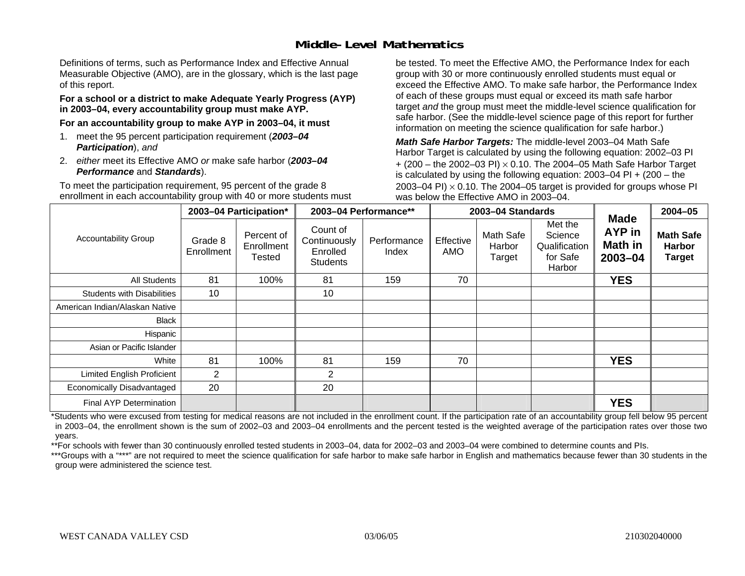### **Middle-Level Mathematics**

Definitions of terms, such as Performance Index and Effective Annual Measurable Objective (AMO), are in the glossary, which is the last page of this report.

#### **For a school or a district to make Adequate Yearly Progress (AYP) in 2003–04, every accountability group must make AYP.**

**For an accountability group to make AYP in 2003–04, it must** 

- 1. meet the 95 percent participation requirement (*2003–04 Participation*), *and*
- 2. *either* meet its Effective AMO *or* make safe harbor (*2003–04 Performance* and *Standards*).

To meet the participation requirement, 95 percent of the grade 8 enrollment in each accountability group with 40 or more students must be tested. To meet the Effective AMO, the Performance Index for each group with 30 or more continuously enrolled students must equal or exceed the Effective AMO. To make safe harbor, the Performance Index of each of these groups must equal or exceed its math safe harbor target *and* the group must meet the middle-level science qualification for safe harbor. (See the middle-level science page of this report for further information on meeting the science qualification for safe harbor.)

*Math Safe Harbor Targets:* The middle-level 2003–04 Math Safe Harbor Target is calculated by using the following equation: 2002–03 PI + (200 – the 2002–03 PI) <sup>×</sup> 0.10. The 2004–05 Math Safe Harbor Target is calculated by using the following equation: 2003–04 PI + (200 – the 2003–04 PI)  $\times$  0.10. The 2004–05 target is provided for groups whose PI was below the Effective AMO in 2003–04.

|                                   |                       | 2003-04 Participation*                    | 2003-04 Performance**                                   |                      |                  | 2003-04 Standards             |                                                           |                                                           | $2004 - 05$                                        |
|-----------------------------------|-----------------------|-------------------------------------------|---------------------------------------------------------|----------------------|------------------|-------------------------------|-----------------------------------------------------------|-----------------------------------------------------------|----------------------------------------------------|
| <b>Accountability Group</b>       | Grade 8<br>Enrollment | Percent of<br>Enrollment<br><b>Tested</b> | Count of<br>Continuously<br>Enrolled<br><b>Students</b> | Performance<br>Index | Effective<br>AMO | Math Safe<br>Harbor<br>Target | Met the<br>Science<br>Qualification<br>for Safe<br>Harbor | <b>Made</b><br><b>AYP</b> in<br><b>Math in</b><br>2003-04 | <b>Math Safe</b><br><b>Harbor</b><br><b>Target</b> |
| All Students                      | 81                    | 100%                                      | 81                                                      | 159                  | 70               |                               |                                                           | <b>YES</b>                                                |                                                    |
| <b>Students with Disabilities</b> | 10                    |                                           | 10                                                      |                      |                  |                               |                                                           |                                                           |                                                    |
| American Indian/Alaskan Native    |                       |                                           |                                                         |                      |                  |                               |                                                           |                                                           |                                                    |
| <b>Black</b>                      |                       |                                           |                                                         |                      |                  |                               |                                                           |                                                           |                                                    |
| Hispanic                          |                       |                                           |                                                         |                      |                  |                               |                                                           |                                                           |                                                    |
| Asian or Pacific Islander         |                       |                                           |                                                         |                      |                  |                               |                                                           |                                                           |                                                    |
| White                             | 81                    | 100%                                      | 81                                                      | 159                  | 70               |                               |                                                           | <b>YES</b>                                                |                                                    |
| <b>Limited English Proficient</b> | 2                     |                                           | 2                                                       |                      |                  |                               |                                                           |                                                           |                                                    |
| Economically Disadvantaged        | 20                    |                                           | 20                                                      |                      |                  |                               |                                                           |                                                           |                                                    |
| <b>Final AYP Determination</b>    |                       |                                           |                                                         |                      |                  |                               |                                                           | <b>YES</b>                                                |                                                    |

\*Students who were excused from testing for medical reasons are not included in the enrollment count. If the participation rate of an accountability group fell below 95 percent in 2003–04, the enrollment shown is the sum of 2002–03 and 2003–04 enrollments and the percent tested is the weighted average of the participation rates over those two years.

\*\*For schools with fewer than 30 continuously enrolled tested students in 2003–04, data for 2002–03 and 2003–04 were combined to determine counts and PIs.

\*\*\*Groups with a "\*\*\*" are not required to meet the science qualification for safe harbor to make safe harbor in English and mathematics because fewer than 30 students in the group were administered the science test.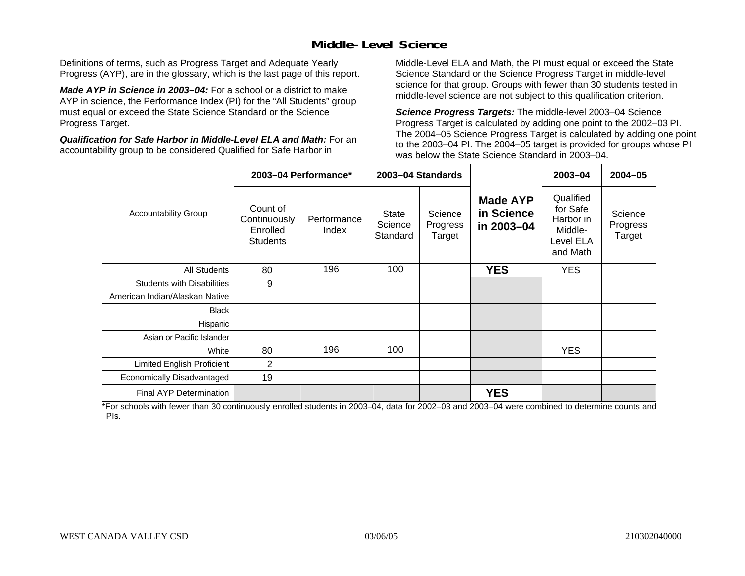### **Middle-Level Science**

Definitions of terms, such as Progress Target and Adequate Yearly Progress (AYP), are in the glossary, which is the last page of this report.

*Made AYP in Science in 2003–04:* For a school or a district to make AYP in science, the Performance Index (PI) for the "All Students" group must equal or exceed the State Science Standard or the Science Progress Target.

*Qualification for Safe Harbor in Middle-Level ELA and Math:* For an accountability group to be considered Qualified for Safe Harbor in

Middle-Level ELA and Math, the PI must equal or exceed the State Science Standard or the Science Progress Target in middle-level science for that group. Groups with fewer than 30 students tested in middle-level science are not subject to this qualification criterion.

*Science Progress Targets:* The middle-level 2003–04 Science Progress Target is calculated by adding one point to the 2002–03 PI. The 2004–05 Science Progress Target is calculated by adding one point to the 2003–04 PI. The 2004–05 target is provided for groups whose PI was below the State Science Standard in 2003–04.

|                                   |                                                         | 2003-04 Performance* |                              | 2003-04 Standards             |                                             | 2003-04                                                                | $2004 - 05$                   |
|-----------------------------------|---------------------------------------------------------|----------------------|------------------------------|-------------------------------|---------------------------------------------|------------------------------------------------------------------------|-------------------------------|
| <b>Accountability Group</b>       | Count of<br>Continuously<br>Enrolled<br><b>Students</b> | Performance<br>Index | State<br>Science<br>Standard | Science<br>Progress<br>Target | <b>Made AYP</b><br>in Science<br>in 2003-04 | Qualified<br>for Safe<br>Harbor in<br>Middle-<br>Level ELA<br>and Math | Science<br>Progress<br>Target |
| <b>All Students</b>               | 80                                                      | 196                  | 100                          |                               | <b>YES</b>                                  | YES.                                                                   |                               |
| <b>Students with Disabilities</b> | 9                                                       |                      |                              |                               |                                             |                                                                        |                               |
| American Indian/Alaskan Native    |                                                         |                      |                              |                               |                                             |                                                                        |                               |
| <b>Black</b>                      |                                                         |                      |                              |                               |                                             |                                                                        |                               |
| Hispanic                          |                                                         |                      |                              |                               |                                             |                                                                        |                               |
| Asian or Pacific Islander         |                                                         |                      |                              |                               |                                             |                                                                        |                               |
| White                             | 80                                                      | 196                  | 100                          |                               |                                             | <b>YES</b>                                                             |                               |
| Limited English Proficient        | 2                                                       |                      |                              |                               |                                             |                                                                        |                               |
| Economically Disadvantaged        | 19                                                      |                      |                              |                               |                                             |                                                                        |                               |
| Final AYP Determination           |                                                         |                      |                              |                               | <b>YES</b>                                  |                                                                        |                               |

\*For schools with fewer than 30 continuously enrolled students in 2003–04, data for 2002–03 and 2003–04 were combined to determine counts and PIs.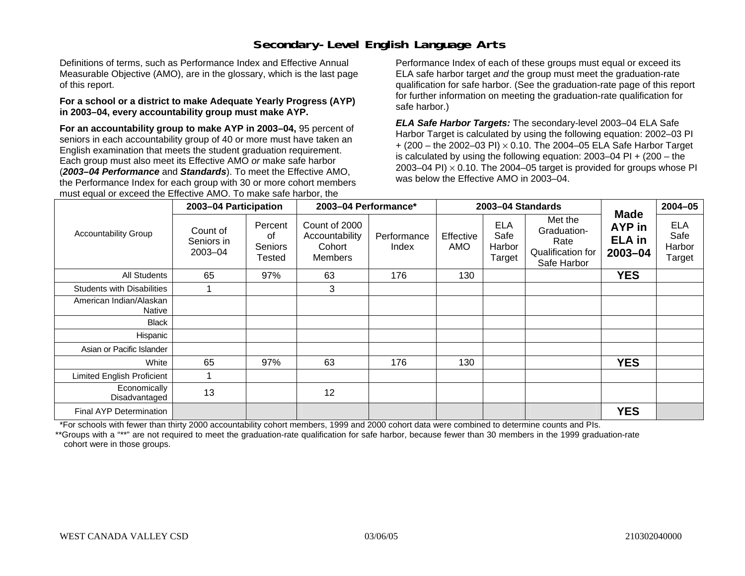## **Secondary-Level English Language Arts**

Definitions of terms, such as Performance Index and Effective Annual Measurable Objective (AMO), are in the glossary, which is the last page of this report.

#### **For a school or a district to make Adequate Yearly Progress (AYP) in 2003–04, every accountability group must make AYP.**

**For an accountability group to make AYP in 2003–04,** 95 percent of seniors in each accountability group of 40 or more must have taken an English examination that meets the student graduation requirement. Each group must also meet its Effective AMO *or* make safe harbor (*2003–04 Performance* and *Standards*). To meet the Effective AMO, the Performance Index for each group with 30 or more cohort members must equal or exceed the Effective AMO. To make safe harbor, the

Performance Index of each of these groups must equal or exceed its ELA safe harbor target *and* the group must meet the graduation-rate qualification for safe harbor. (See the graduation-rate page of this report for further information on meeting the graduation-rate qualification for safe harbor.)

*ELA Safe Harbor Targets:* The secondary-level 2003–04 ELA Safe Harbor Target is calculated by using the following equation: 2002–03 PI + (200 – the 2002–03 PI) <sup>×</sup> 0.10. The 2004–05 ELA Safe Harbor Target is calculated by using the following equation: 2003–04 PI + (200 – the 2003–04 PI)  $\times$  0.10. The 2004–05 target is provided for groups whose PI was below the Effective AMO in 2003–04.

|                                   | 2003-04 Participation             |                                    | 2003-04 Performance*                                        |                      |                  | 2003-04 Standards                      |                                                                    |                                                   | $2004 - 05$                            |
|-----------------------------------|-----------------------------------|------------------------------------|-------------------------------------------------------------|----------------------|------------------|----------------------------------------|--------------------------------------------------------------------|---------------------------------------------------|----------------------------------------|
| <b>Accountability Group</b>       | Count of<br>Seniors in<br>2003-04 | Percent<br>οf<br>Seniors<br>Tested | Count of 2000<br>Accountability<br>Cohort<br><b>Members</b> | Performance<br>Index | Effective<br>AMO | <b>ELA</b><br>Safe<br>Harbor<br>Target | Met the<br>Graduation-<br>Rate<br>Qualification for<br>Safe Harbor | <b>Made</b><br>AYP in<br><b>ELA</b> in<br>2003-04 | <b>ELA</b><br>Safe<br>Harbor<br>Target |
| All Students                      | 65                                | 97%                                | 63                                                          | 176                  | 130              |                                        |                                                                    | <b>YES</b>                                        |                                        |
| <b>Students with Disabilities</b> |                                   |                                    | 3                                                           |                      |                  |                                        |                                                                    |                                                   |                                        |
| American Indian/Alaskan<br>Native |                                   |                                    |                                                             |                      |                  |                                        |                                                                    |                                                   |                                        |
| <b>Black</b>                      |                                   |                                    |                                                             |                      |                  |                                        |                                                                    |                                                   |                                        |
| Hispanic                          |                                   |                                    |                                                             |                      |                  |                                        |                                                                    |                                                   |                                        |
| Asian or Pacific Islander         |                                   |                                    |                                                             |                      |                  |                                        |                                                                    |                                                   |                                        |
| White                             | 65                                | 97%                                | 63                                                          | 176                  | 130              |                                        |                                                                    | <b>YES</b>                                        |                                        |
| <b>Limited English Proficient</b> |                                   |                                    |                                                             |                      |                  |                                        |                                                                    |                                                   |                                        |
| Economically<br>Disadvantaged     | 13                                |                                    | 12                                                          |                      |                  |                                        |                                                                    |                                                   |                                        |
| Final AYP Determination           |                                   |                                    |                                                             |                      |                  |                                        |                                                                    | <b>YES</b>                                        |                                        |

\*For schools with fewer than thirty 2000 accountability cohort members, 1999 and 2000 cohort data were combined to determine counts and PIs.

\*\*Groups with a "\*\*" are not required to meet the graduation-rate qualification for safe harbor, because fewer than 30 members in the 1999 graduation-rate cohort were in those groups.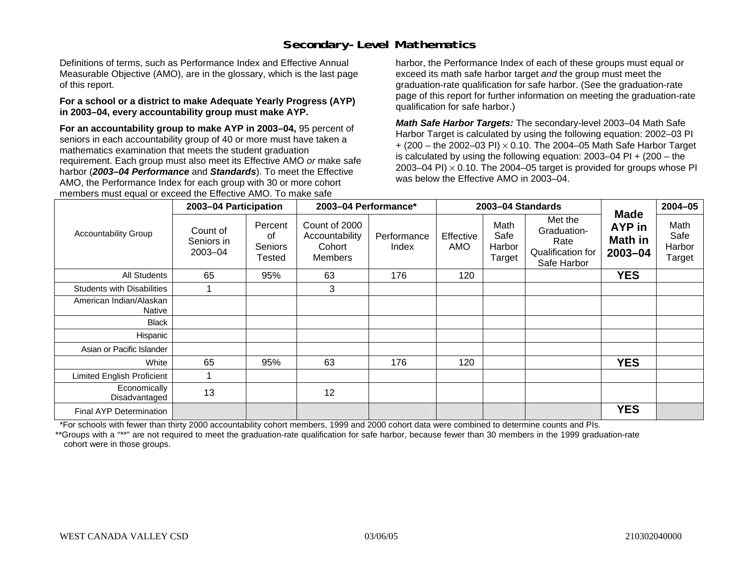## **Secondary-Level Mathematics**

Definitions of terms, such as Performance Index and Effective Annual Measurable Objective (AMO), are in the glossary, which is the last page of this report.

#### **For a school or a district to make Adequate Yearly Progress (AYP) in 2003–04, every accountability group must make AYP.**

**For an accountability group to make AYP in 2003–04,** 95 percent of seniors in each accountability group of 40 or more must have taken a mathematics examination that meets the student graduation requirement. Each group must also meet its Effective AMO *or* make safe harbor (*2003–04 Performance* and *Standards*). To meet the Effective AMO, the Performance Index for each group with 30 or more cohort members must equal or exceed the Effective AMO. To make safe

harbor, the Performance Index of each of these groups must equal or exceed its math safe harbor target *and* the group must meet the graduation-rate qualification for safe harbor. (See the graduation-rate page of this report for further information on meeting the graduation-rate qualification for safe harbor.)

*Math Safe Harbor Targets:* The secondary-level 2003–04 Math Safe Harbor Target is calculated by using the following equation: 2002–03 PI + (200 – the 2002–03 PI) <sup>×</sup> 0.10. The 2004–05 Math Safe Harbor Target is calculated by using the following equation: 2003–04 PI + (200 – the 2003–04 PI)  $\times$  0.10. The 2004–05 target is provided for groups whose PI was below the Effective AMO in 2003–04.

|                                   | 2003-04 Participation             |                                    | 2003-04 Performance*                                        |                      |                  | 2003-04 Standards                |                                                                    |                                                 | $2004 - 05$                      |
|-----------------------------------|-----------------------------------|------------------------------------|-------------------------------------------------------------|----------------------|------------------|----------------------------------|--------------------------------------------------------------------|-------------------------------------------------|----------------------------------|
| <b>Accountability Group</b>       | Count of<br>Seniors in<br>2003-04 | Percent<br>0f<br>Seniors<br>Tested | Count of 2000<br>Accountability<br>Cohort<br><b>Members</b> | Performance<br>Index | Effective<br>AMO | Math<br>Safe<br>Harbor<br>Target | Met the<br>Graduation-<br>Rate<br>Qualification for<br>Safe Harbor | <b>Made</b><br>AYP in<br>Math in<br>$2003 - 04$ | Math<br>Safe<br>Harbor<br>Target |
| <b>All Students</b>               | 65                                | 95%                                | 63                                                          | 176                  | 120              |                                  |                                                                    | <b>YES</b>                                      |                                  |
| <b>Students with Disabilities</b> |                                   |                                    | 3                                                           |                      |                  |                                  |                                                                    |                                                 |                                  |
| American Indian/Alaskan<br>Native |                                   |                                    |                                                             |                      |                  |                                  |                                                                    |                                                 |                                  |
| <b>Black</b>                      |                                   |                                    |                                                             |                      |                  |                                  |                                                                    |                                                 |                                  |
| Hispanic                          |                                   |                                    |                                                             |                      |                  |                                  |                                                                    |                                                 |                                  |
| Asian or Pacific Islander         |                                   |                                    |                                                             |                      |                  |                                  |                                                                    |                                                 |                                  |
| White                             | 65                                | 95%                                | 63                                                          | 176                  | 120              |                                  |                                                                    | <b>YES</b>                                      |                                  |
| Limited English Proficient        |                                   |                                    |                                                             |                      |                  |                                  |                                                                    |                                                 |                                  |
| Economically<br>Disadvantaged     | 13                                |                                    | 12                                                          |                      |                  |                                  |                                                                    |                                                 |                                  |
| Final AYP Determination           |                                   |                                    |                                                             |                      |                  |                                  |                                                                    | <b>YES</b>                                      |                                  |

\*For schools with fewer than thirty 2000 accountability cohort members, 1999 and 2000 cohort data were combined to determine counts and PIs.

\*\*Groups with a "\*\*" are not required to meet the graduation-rate qualification for safe harbor, because fewer than 30 members in the 1999 graduation-rate cohort were in those groups.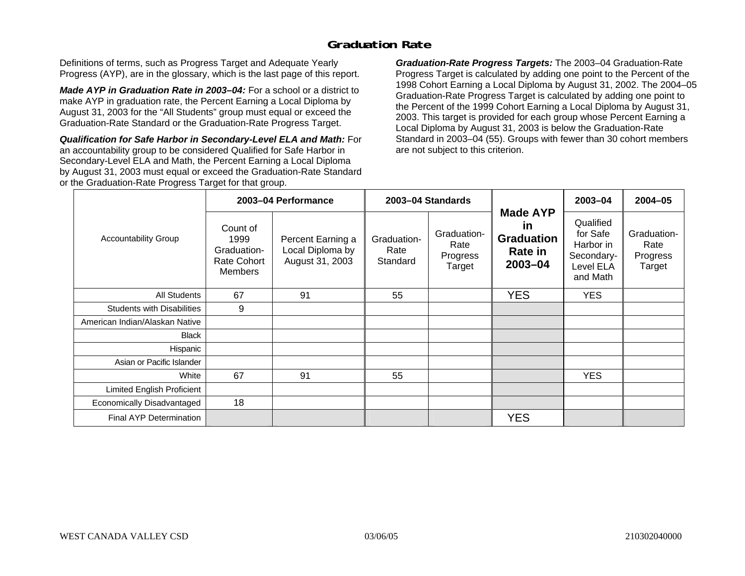### **Graduation Rate**

Definitions of terms, such as Progress Target and Adequate Yearly Progress (AYP), are in the glossary, which is the last page of this report.

*Made AYP in Graduation Rate in 2003–04:* For a school or a district to make AYP in graduation rate, the Percent Earning a Local Diploma by August 31, 2003 for the "All Students" group must equal or exceed the Graduation-Rate Standard or the Graduation-Rate Progress Target.

*Qualification for Safe Harbor in Secondary-Level ELA and Math:* For an accountability group to be considered Qualified for Safe Harbor in Secondary-Level ELA and Math, the Percent Earning a Local Diploma by August 31, 2003 must equal or exceed the Graduation-Rate Standard or the Graduation-Rate Progress Target for that group.

*Graduation-Rate Progress Targets:* The 2003–04 Graduation-Rate Progress Target is calculated by adding one point to the Percent of the 1998 Cohort Earning a Local Diploma by August 31, 2002. The 2004–05 Graduation-Rate Progress Target is calculated by adding one point to the Percent of the 1999 Cohort Earning a Local Diploma by August 31, 2003. This target is provided for each group whose Percent Earning a Local Diploma by August 31, 2003 is below the Graduation-Rate Standard in 2003–04 (55). Groups with fewer than 30 cohort members are not subject to this criterion.

|                                   |                                                                  | 2003-04 Performance                                      |                                 | 2003-04 Standards                         |                                                                         | 2003-04                                                                   | $2004 - 05$                               |
|-----------------------------------|------------------------------------------------------------------|----------------------------------------------------------|---------------------------------|-------------------------------------------|-------------------------------------------------------------------------|---------------------------------------------------------------------------|-------------------------------------------|
| <b>Accountability Group</b>       | Count of<br>1999<br>Graduation-<br>Rate Cohort<br><b>Members</b> | Percent Earning a<br>Local Diploma by<br>August 31, 2003 | Graduation-<br>Rate<br>Standard | Graduation-<br>Rate<br>Progress<br>Target | <b>Made AYP</b><br><u>in</u><br><b>Graduation</b><br>Rate in<br>2003-04 | Qualified<br>for Safe<br>Harbor in<br>Secondary-<br>Level ELA<br>and Math | Graduation-<br>Rate<br>Progress<br>Target |
| All Students                      | 67                                                               | 91                                                       | 55                              |                                           | <b>YES</b>                                                              | <b>YES</b>                                                                |                                           |
| <b>Students with Disabilities</b> | 9                                                                |                                                          |                                 |                                           |                                                                         |                                                                           |                                           |
| American Indian/Alaskan Native    |                                                                  |                                                          |                                 |                                           |                                                                         |                                                                           |                                           |
| <b>Black</b>                      |                                                                  |                                                          |                                 |                                           |                                                                         |                                                                           |                                           |
| Hispanic                          |                                                                  |                                                          |                                 |                                           |                                                                         |                                                                           |                                           |
| Asian or Pacific Islander         |                                                                  |                                                          |                                 |                                           |                                                                         |                                                                           |                                           |
| White                             | 67                                                               | 91                                                       | 55                              |                                           |                                                                         | <b>YES</b>                                                                |                                           |
| Limited English Proficient        |                                                                  |                                                          |                                 |                                           |                                                                         |                                                                           |                                           |
| Economically Disadvantaged        | 18                                                               |                                                          |                                 |                                           |                                                                         |                                                                           |                                           |
| <b>Final AYP Determination</b>    |                                                                  |                                                          |                                 |                                           | <b>YES</b>                                                              |                                                                           |                                           |